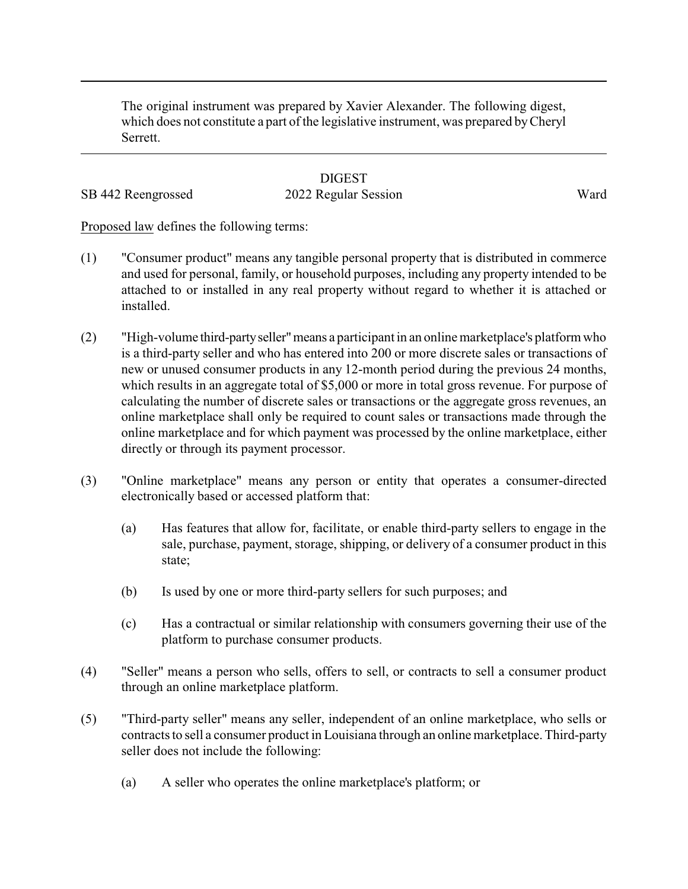The original instrument was prepared by Xavier Alexander. The following digest, which does not constitute a part of the legislative instrument, was prepared byCheryl Serrett.

## **DIGEST** SB 442 Reengrossed 2022 Regular Session Ward

Proposed law defines the following terms:

- (1) "Consumer product" means any tangible personal property that is distributed in commerce and used for personal, family, or household purposes, including any property intended to be attached to or installed in any real property without regard to whether it is attached or installed.
- (2) "High-volume third-partyseller"means a participant in an online marketplace's platform who is a third-party seller and who has entered into 200 or more discrete sales or transactions of new or unused consumer products in any 12-month period during the previous 24 months, which results in an aggregate total of \$5,000 or more in total gross revenue. For purpose of calculating the number of discrete sales or transactions or the aggregate gross revenues, an online marketplace shall only be required to count sales or transactions made through the online marketplace and for which payment was processed by the online marketplace, either directly or through its payment processor.
- (3) "Online marketplace" means any person or entity that operates a consumer-directed electronically based or accessed platform that:
	- (a) Has features that allow for, facilitate, or enable third-party sellers to engage in the sale, purchase, payment, storage, shipping, or delivery of a consumer product in this state;
	- (b) Is used by one or more third-party sellers for such purposes; and
	- (c) Has a contractual or similar relationship with consumers governing their use of the platform to purchase consumer products.
- (4) "Seller" means a person who sells, offers to sell, or contracts to sell a consumer product through an online marketplace platform.
- (5) "Third-party seller" means any seller, independent of an online marketplace, who sells or contracts to sell a consumer product in Louisiana through an online marketplace. Third-party seller does not include the following:
	- (a) A seller who operates the online marketplace's platform; or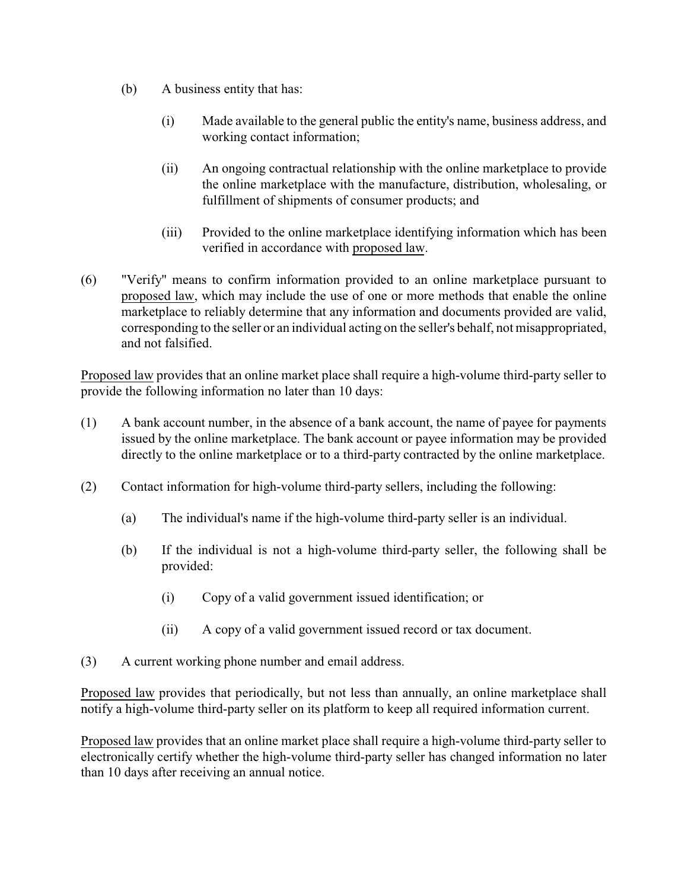- (b) A business entity that has:
	- (i) Made available to the general public the entity's name, business address, and working contact information;
	- (ii) An ongoing contractual relationship with the online marketplace to provide the online marketplace with the manufacture, distribution, wholesaling, or fulfillment of shipments of consumer products; and
	- (iii) Provided to the online marketplace identifying information which has been verified in accordance with proposed law.
- (6) "Verify" means to confirm information provided to an online marketplace pursuant to proposed law, which may include the use of one or more methods that enable the online marketplace to reliably determine that any information and documents provided are valid, corresponding to the seller or an individual acting on the seller's behalf, not misappropriated, and not falsified.

Proposed law provides that an online market place shall require a high-volume third-party seller to provide the following information no later than 10 days:

- (1) A bank account number, in the absence of a bank account, the name of payee for payments issued by the online marketplace. The bank account or payee information may be provided directly to the online marketplace or to a third-party contracted by the online marketplace.
- (2) Contact information for high-volume third-party sellers, including the following:
	- (a) The individual's name if the high-volume third-party seller is an individual.
	- (b) If the individual is not a high-volume third-party seller, the following shall be provided:
		- (i) Copy of a valid government issued identification; or
		- (ii) A copy of a valid government issued record or tax document.
- (3) A current working phone number and email address.

Proposed law provides that periodically, but not less than annually, an online marketplace shall notify a high-volume third-party seller on its platform to keep all required information current.

Proposed law provides that an online market place shall require a high-volume third-party seller to electronically certify whether the high-volume third-party seller has changed information no later than 10 days after receiving an annual notice.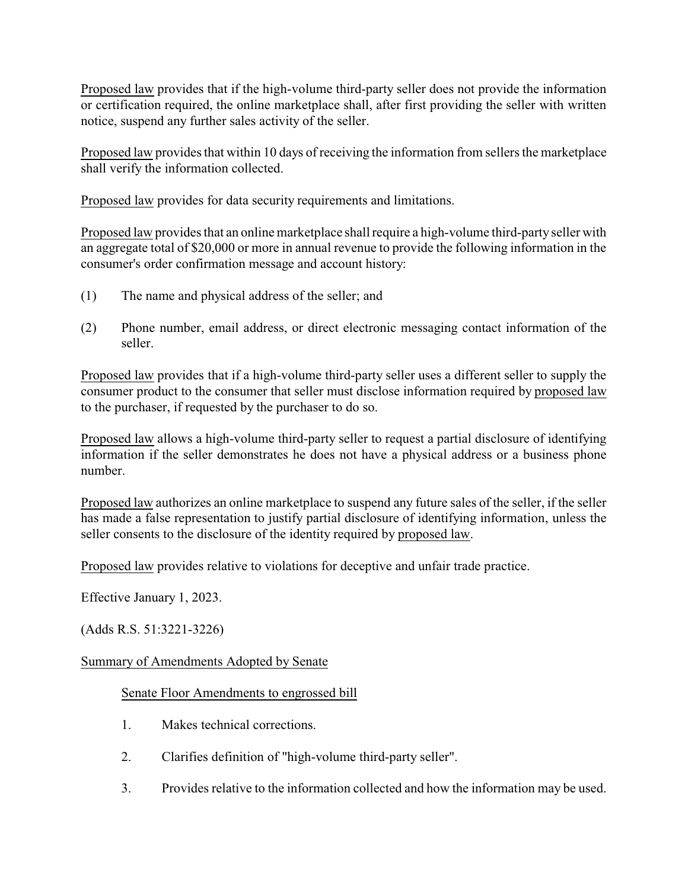Proposed law provides that if the high-volume third-party seller does not provide the information or certification required, the online marketplace shall, after first providing the seller with written notice, suspend any further sales activity of the seller.

Proposed law provides that within 10 days of receiving the information from sellers the marketplace shall verify the information collected.

Proposed law provides for data security requirements and limitations.

Proposed law provides that an online marketplace shall require a high-volume third-party seller with an aggregate total of \$20,000 or more in annual revenue to provide the following information in the consumer's order confirmation message and account history:

- (1) The name and physical address of the seller; and
- (2) Phone number, email address, or direct electronic messaging contact information of the seller.

Proposed law provides that if a high-volume third-party seller uses a different seller to supply the consumer product to the consumer that seller must disclose information required by proposed law to the purchaser, if requested by the purchaser to do so.

Proposed law allows a high-volume third-party seller to request a partial disclosure of identifying information if the seller demonstrates he does not have a physical address or a business phone number.

Proposed law authorizes an online marketplace to suspend any future sales of the seller, if the seller has made a false representation to justify partial disclosure of identifying information, unless the seller consents to the disclosure of the identity required by proposed law.

Proposed law provides relative to violations for deceptive and unfair trade practice.

Effective January 1, 2023.

(Adds R.S. 51:3221-3226)

## Summary of Amendments Adopted by Senate

## Senate Floor Amendments to engrossed bill

- 1. Makes technical corrections.
- 2. Clarifies definition of "high-volume third-party seller".
- 3. Provides relative to the information collected and how the information may be used.